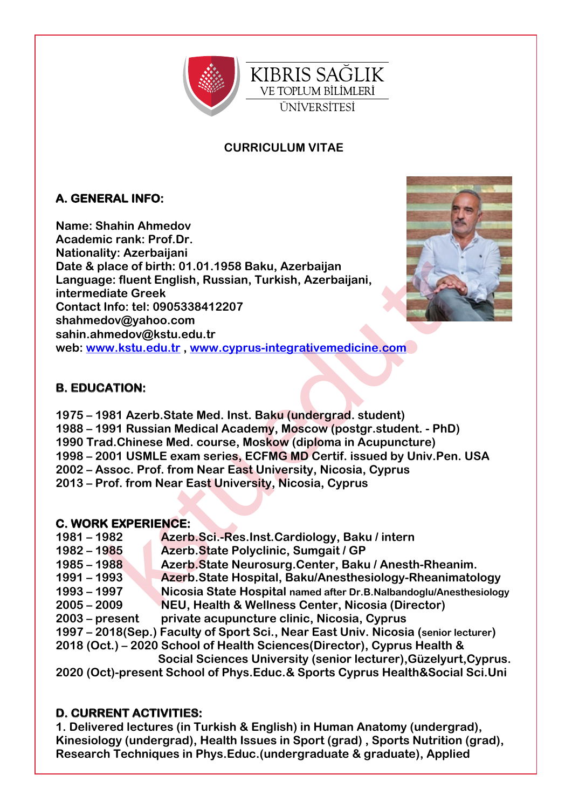

## **CURRICULUM VITAE**

# **A. GENERAL INFO:**

**Name: Shahin Ahmedov Academic rank: Prof.Dr. Nationality: Azerbaijani Date & place of birth: 01.01.1958 Baku, Azerbaijan Language: fluent English, Russian, Turkish, Azerbaijani, intermediate Greek Contact Info: tel: 0905338412207 shahmedov@yahoo.com sahin.ahmedov@kstu.edu.tr web: www.kstu.edu.tr , www.cyprus-integrativemedicine.com**



### **B. EDUCATION:**

lace of birth: 01.01.1958 Baku, Azerbaijan<br>
iate Greek<br>
fluite Erlent English, Russian, Turkish, Azerbaijani,<br>
liate Greek<br>
Info: tel: 0905338412207<br>
medov@kstu.edu.tr<br>
medov@kstu.edu.tr<br>
w.kstu.edu.tr, www.cyprus-integrat **1975 – 1981 Azerb.State Med. Inst. Baku (undergrad. student) 1988 – 1991 Russian Medical Academy, Moscow (postgr.student. - PhD) 1990 Trad.Chinese Med. course, Moskow (diploma in Acupuncture) 1998 – 2001 USMLE exam series, ECFMG MD Certif. issued by Univ.Pen. USA 2002 – Assoc. Prof. from Near East University, Nicosia, Cyprus 2013 – Prof. from Near East University, Nicosia, Cyprus** 

#### **C. WORK EXPERIENCE:**

| $1981 - 1982$                                                                     | Azerb.Sci.-Res.Inst.Cardiology, Baku / intern                                      |
|-----------------------------------------------------------------------------------|------------------------------------------------------------------------------------|
| $1982 - 1985$                                                                     | Azerb.State Polyclinic, Sumgait / GP                                               |
| $1985 - 1988$                                                                     | Azerb.State Neurosurg.Center, Baku / Anesth-Rheanim.                               |
| $1991 - 1993$                                                                     | Azerb.State Hospital, Baku/Anesthesiology-Rheanimatology                           |
| $1993 - 1997$                                                                     | Nicosia State Hospital named after Dr.B.Nalbandoglu/Anesthesiology                 |
| $2005 - 2009$                                                                     | NEU, Health & Wellness Center, Nicosia (Director)                                  |
| $2003$ – present                                                                  | private acupuncture clinic, Nicosia, Cyprus                                        |
|                                                                                   | 1997 – 2018(Sep.) Faculty of Sport Sci., Near East Univ. Nicosia (senior lecturer) |
|                                                                                   | 2018 (Oct.) – 2020 School of Health Sciences (Director), Cyprus Health &           |
|                                                                                   | Social Sciences University (senior lecturer), Güzelyurt, Cyprus.                   |
| 2020 (Oct)-present School of Phys. Educ. & Sports Cyprus Health & Social Sci. Uni |                                                                                    |

#### **D. CURRENT ACTIVITIES:**

**1. Delivered lectures (in Turkish & English) in Human Anatomy (undergrad), Kinesiology (undergrad), Health Issues in Sport (grad) , Sports Nutrition (grad), Research Techniques in Phys.Educ.(undergraduate & graduate), Applied**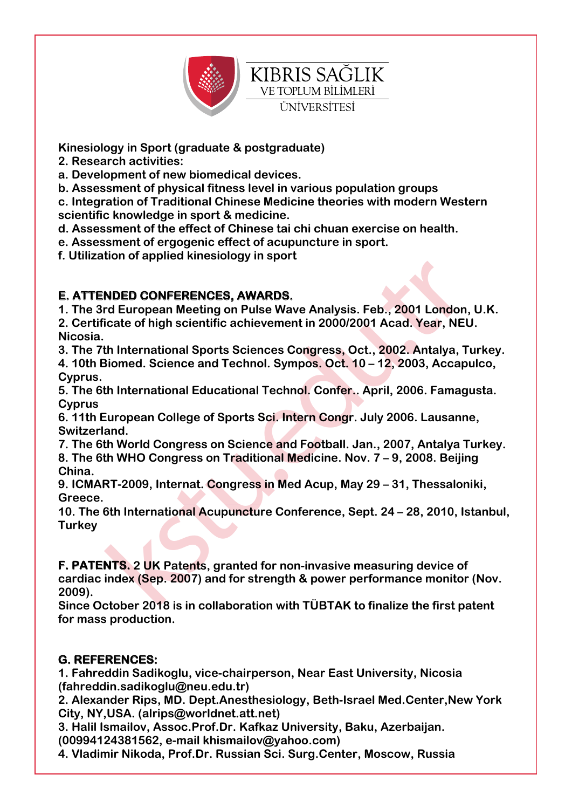

**Kinesiology in Sport (graduate & postgraduate)** 

**2. Research activities:**

**a. Development of new biomedical devices.**

**b. Assessment of physical fitness level in various population groups**

**c. Integration of Traditional Chinese Medicine theories with modern Western scientific knowledge in sport & medicine.**

**d. Assessment of the effect of Chinese tai chi chuan exercise on health.**

**e. Assessment of ergogenic effect of acupuncture in sport.**

**f. Utilization of applied kinesiology in sport**

### **E. ATTENDED CONFERENCES, AWARDS.**

**1. The 3rd European Meeting on Pulse Wave Analysis. Feb., 2001 London, U.K. 2. Certificate of high scientific achievement in 2000/2001 Acad. Year, NEU. Nicosia.**

**3. The 7th International Sports Sciences Congress, Oct., 2002. Antalya, Turkey.**

**4. 10th Biomed. Science and Technol. Sympos. Oct. 10 – 12, 2003, Accapulco, Cyprus.**

**5. The 6th International Educational Technol. Confer.. April, 2006. Famagusta. Cyprus**

**6. 11th European College of Sports Sci. Intern Congr. July 2006. Lausanne, Switzerland.**

**7. The 6th World Congress on Science and Football. Jan., 2007, Antalya Turkey. 8. The 6th WHO Congress on Traditional Medicine. Nov. 7 – 9, 2008. Beijing China.**

**9. ICMART-2009, Internat. Congress in Med Acup, May 29 – 31, Thessaloniki, Greece.**

**10. The 6th International Acupuncture Conference, Sept. 24 – 28, 2010, Istanbul, Turkey**

NDED CONFERENCES, AWARDS.<br>
The European Meeting on Pulse Wave Analysis. Feb., 2001 London<br>
icate of high scientific achievement in 2000/2001 Acad. Year, NE<br>
th International Sports Sciences Congress, Oct., 2002. Antalya, 1 **F. PATENTS. 2 UK Patents, granted for non-invasive measuring device of cardiac index (Sep. 2007) and for strength & power performance monitor (Nov. 2009).**

**Since October 2018 is in collaboration with TÜBTAK to finalize the first patent for mass production.**

### **G. REFERENCES:**

**1. Fahreddin Sadikoglu, vice-chairperson, Near East University, Nicosia (fahreddin.sadikoglu@neu.edu.tr)**

**2. Alexander Rips, MD. Dept.Anesthesiology, Beth-Israel Med.Center,New York City, NY,USA. (alrips@worldnet.att.net)**

**3. Halil Ismailov, Assoc.Prof.Dr. Kafkaz University, Baku, Azerbaijan. (00994124381562, e-mail khismailov@yahoo.com)**

**4. Vladimir Nikoda, Prof.Dr. Russian Sci. Surg.Center, Moscow, Russia**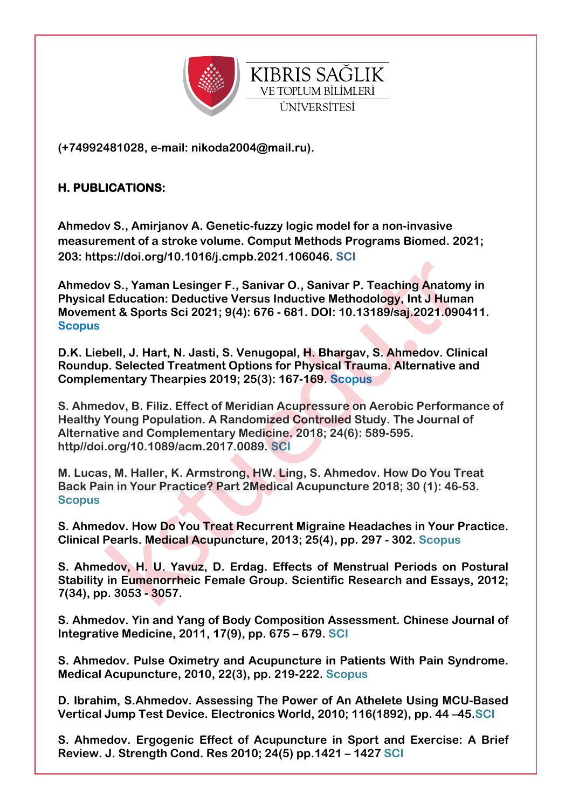

**(+74992481028, e-mail: nikoda2004@mail.ru).** 

### **H. PUBLICATIONS:**

**Ahmedov S., Amirjanov A. Genetic-fuzzy logic model for a non-invasive measurement of a stroke volume. Comput Methods Programs Biomed. 2021; 203: https://doi.org/10.1016/j.cmpb.2021.106046. SCI**

v S., Yaman Lesinger F., Sanivar O., Sanivar P. Teaching Anatom<br>Education: Deductive Versus Inductive Methodology, Int J Humant & Sports Sci 2021; 9(4): 676 - 681. DOI: 10.13189/saj.2021.990<br>pell, J. Hart, N. Jasti, S. Ven **Ahmedov S., Yaman Lesinger F., Sanivar O., Sanivar P. Teaching Anatomy in Physical Education: Deductive Versus Inductive Methodology, Int J Human Movement & Sports Sci 2021; 9(4): 676 - 681. DOI: 10.13189/saj.2021.090411. Scopus**

**D.K. Liebell, J. Hart, N. Jasti, S. Venugopal, H. Bhargav, S. Ahmedov. Clinical Roundup. Selected Treatment Options for Physical Trauma. Alternative and Complementary Thearpies 2019; 25(3): 167-169. Scopus**

**S. Ahmedov, B. Filiz. Effect of Meridian Acupressure on Aerobic Performance of Healthy Young Population. A Randomized Controlled Study. The Journal of Alternative and Complementary Medicine. 2018; 24(6): 589-595. http//doi.org/10.1089/acm.2017.0089. SCI**

**M. Lucas, M. Haller, K. Armstrong, HW. Ling, S. Ahmedov. How Do You Treat Back Pain in Your Practice? Part 2Medical Acupuncture 2018; 30 (1): 46-53. Scopus**

**S. Ahmedov. How Do You Treat Recurrent Migraine Headaches in Your Practice. Clinical Pearls. Medical Acupuncture, 2013; 25(4), pp. 297 - 302. Scopus**

**S. Ahmedov, H. U. Yavuz, D. Erdag. Effects of Menstrual Periods on Postural Stability in Eumenorrheic Female Group. Scientific Research and Essays, 2012; 7(34), pp. 3053 - 3057.**

**S. Ahmedov. Yin and Yang of Body Composition Assessment. Chinese Journal of Integrative Medicine, 2011, 17(9), pp. 675 – 679. SCI**

**S. Ahmedov. Pulse Oximetry and Acupuncture in Patients With Pain Syndrome. Medical Acupuncture, 2010, 22(3), pp. 219-222. Scopus**

**D. Ibrahim, S.Ahmedov. Assessing The Power of An Athelete Using MCU-Based Vertical Jump Test Device. Electronics World, 2010; 116(1892), pp. 44 –45.SCI**

**S. Ahmedov. Ergogenic Effect of Acupuncture in Sport and Exercise: A Brief Review. J. Strength Cond. Res 2010; 24(5) pp.1421 – 1427 SCI**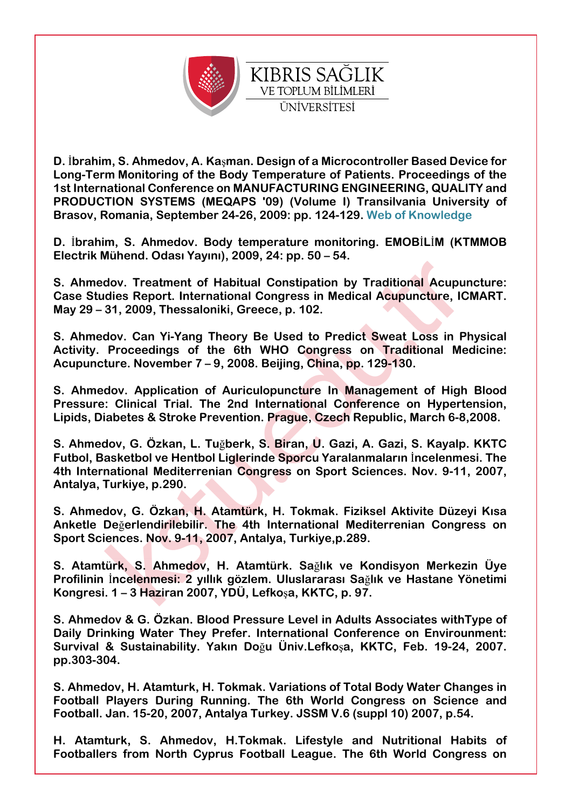

**D.** İ**brahim, S. Ahmedov, A. Ka**ş**man. Design of a Microcontroller Based Device for Long-Term Monitoring of the Body Temperature of Patients. Proceedings of the 1st International Conference on MANUFACTURING ENGINEERING, QUALITY and PRODUCTION SYSTEMS (MEQAPS '09) (Volume I) Transilvania University of Brasov, Romania, September 24-26, 2009: pp. 124-129. Web of Knowledge**

**D.** İ**brahim, S. Ahmedov. Body temperature monitoring. EMOB**İ**L**İ**M (KTMMOB Electrik Mühend. Odası Yayını), 2009, 24: pp. 50 – 54.**

**S. Ahmedov. Treatment of Habitual Constipation by Traditional Acupuncture: Case Studies Report. International Congress in Medical Acupuncture, ICMART. May 29 – 31, 2009, Thessaloniki, Greece, p. 102.**

**S. Ahmedov. Can Yi-Yang Theory Be Used to Predict Sweat Loss in Physical Activity. Proceedings of the 6th WHO Congress on Traditional Medicine: Acupuncture. November 7 – 9, 2008. Beijing, China, pp. 129-130.**

**S. Ahmedov. Application of Auriculopuncture In Management of High Blood Pressure: Clinical Trial. The 2nd International Conference on Hypertension, Lipids, Diabetes & Stroke Prevention. Prague, Czech Republic, March 6-8,2008.**

dov. Treatment of Habitual Constipation by Traditional Acupu<br>dies Report. International Congress in Medical Acupuncture, IC<br>31, 2009, Thessaloniki, Greece, p. 102.<br>dov. Can Yi-Yang Theory Be Used to Predict Sweat Loss in P **S. Ahmedov, G. Özkan, L. Tu**ğ**berk, S. Biran, U. Gazi, A. Gazi, S. Kayalp. KKTC Futbol, Basketbol ve Hentbol Liglerinde Sporcu Yaralanmaların** İ**ncelenmesi. The 4th International Mediterrenian Congress on Sport Sciences. Nov. 9-11, 2007, Antalya, Turkiye, p.290.**

**S. Ahmedov, G. Özkan, H. Atamtürk, H. Tokmak. Fiziksel Aktivite Düzeyi Kısa Anketle De**ğ**erlendirilebilir. The 4th International Mediterrenian Congress on Sport Sciences. Nov. 9-11, 2007, Antalya, Turkiye,p.289.**

**S. Atamtürk, S. Ahmedov, H. Atamtürk. Sa**ğ**lık ve Kondisyon Merkezin Üye Profilinin** İ**ncelenmesi: 2 yıllık gözlem. Uluslararası Sa**ğ**lık ve Hastane Yönetimi Kongresi. 1 – 3 Haziran 2007, YDÜ, Lefko**ş**a, KKTC, p. 97.**

**S. Ahmedov & G. Özkan. Blood Pressure Level in Adults Associates withType of Daily Drinking Water They Prefer. International Conference on Envirounment: Survival & Sustainability. Yakın Do**ğ**u Üniv.Lefko**ş**a, KKTC, Feb. 19-24, 2007. pp.303-304.**

**S. Ahmedov, H. Atamturk, H. Tokmak. Variations of Total Body Water Changes in Football Players During Running. The 6th World Congress on Science and Football. Jan. 15-20, 2007, Antalya Turkey. JSSM V.6 (suppl 10) 2007, p.54.**

**H. Atamturk, S. Ahmedov, H.Tokmak. Lifestyle and Nutritional Habits of Footballers from North Cyprus Football League. The 6th World Congress on**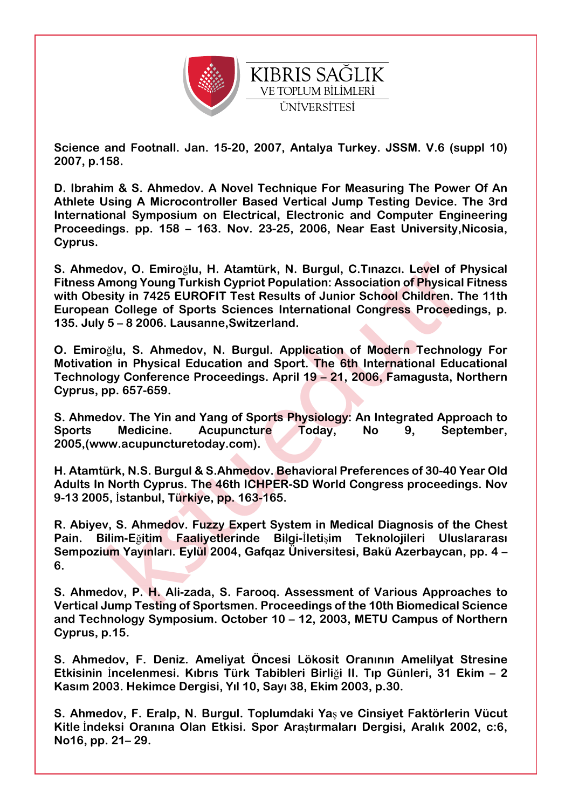

**Science and Footnall. Jan. 15-20, 2007, Antalya Turkey. JSSM. V.6 (suppl 10) 2007, p.158.** 

**D. Ibrahim & S. Ahmedov. A Novel Technique For Measuring The Power Of An Athlete Using A Microcontroller Based Vertical Jump Testing Device. The 3rd International Symposium on Electrical, Electronic and Computer Engineering Proceedings. pp. 158 – 163. Nov. 23-25, 2006, Near East University,Nicosia, Cyprus.**

dov, O. Emiroğlu, H. Atamtürk, N. Burgul, C.Tınazcı. Level of Physical<br>
momog Young Turkish Cypriot Population: Association of Physical<br>
sisty in 7425 EUROFIT Test Results of Junior School Children. T<br>
n College of Sports **S. Ahmedov, O. Emiro**ğ**lu, H. Atamtürk, N. Burgul, C.Tınazcı. Level of Physical Fitness Among Young Turkish Cypriot Population: Association of Physical Fitness with Obesity in 7425 EUROFIT Test Results of Junior School Children. The 11th European College of Sports Sciences International Congress Proceedings, p. 135. July 5 – 8 2006. Lausanne,Switzerland.**

**O. Emiro**ğ**lu, S. Ahmedov, N. Burgul. Application of Modern Technology For Motivation in Physical Education and Sport. The 6th International Educational Technology Conference Proceedings. April 19 – 21, 2006, Famagusta, Northern Cyprus, pp. 657-659.**

**S. Ahmedov. The Yin and Yang of Sports Physiology: An Integrated Approach to Sports Medicine. Acupuncture Today, No 9, September, 2005,(www.acupuncturetoday.com).**

**H. Atamtürk, N.S. Burgul & S.Ahmedov. Behavioral Preferences of 30-40 Year Old Adults In North Cyprus. The 46th ICHPER-SD World Congress proceedings. Nov 9-13 2005,** İ**stanbul, Türkiye, pp. 163-165.**

**R. Abiyev, S. Ahmedov. Fuzzy Expert System in Medical Diagnosis of the Chest Pain. Bilim-E**ğ**itim Faaliyetlerinde Bilgi-**İ**leti**ş**im Teknolojileri Uluslararası Sempozium Yayınları. Eylül 2004, Gafqaz Üniversitesi, Bakü Azerbaycan, pp. 4 – 6.**

**S. Ahmedov, P. H. Ali-zada, S. Farooq. Assessment of Various Approaches to Vertical Jump Testing of Sportsmen. Proceedings of the 10th Biomedical Science and Technology Symposium. October 10 – 12, 2003, METU Campus of Northern Cyprus, p.15.**

**S. Ahmedov, F. Deniz. Ameliyat Öncesi Lökosit Oranının Amelilyat Stresine Etkisinin** İ**ncelenmesi. Kıbrıs Türk Tabibleri Birli**ğ**i II. Tıp Günleri, 31 Ekim – 2 Kasım 2003. Hekimce Dergisi, Yıl 10, Sayı 38, Ekim 2003, p.30.**

**S. Ahmedov, F. Eralp, N. Burgul. Toplumdaki Ya**ş **ve Cinsiyet Faktörlerin Vücut Kitle** İ**ndeksi Oranına Olan Etkisi. Spor Ara**ş**tırmaları Dergisi, Aralık 2002, c:6, No16, pp. 21– 29.**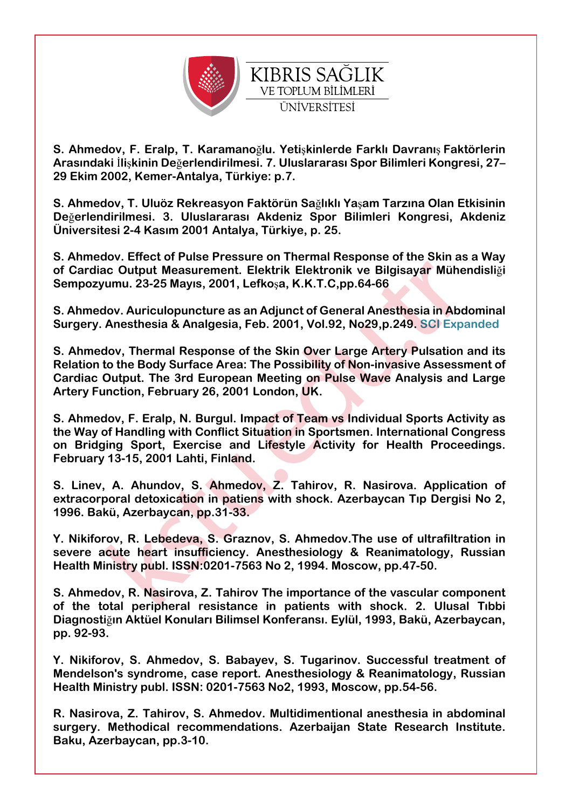

**S. Ahmedov, F. Eralp, T. Karamano**ğ**lu. Yeti**ş**kinlerde Farklı Davranı**ş **Faktörlerin Arasındaki** İ**li**ş**kinin De**ğ**erlendirilmesi. 7. Uluslararası Spor Bilimleri Kongresi, 27– 29 Ekim 2002, Kemer-Antalya, Türkiye: p.7.** 

**S. Ahmedov, T. Uluöz Rekreasyon Faktörün Sa**ğ**lıklı Ya**ş**am Tarzına Olan Etkisinin De**ğ**erlendirilmesi. 3. Uluslararası Akdeniz Spor Bilimleri Kongresi, Akdeniz Üniversitesi 2-4 Kasım 2001 Antalya, Türkiye, p. 25.**

**S. Ahmedov. Effect of Pulse Pressure on Thermal Response of the Skin as a Way of Cardiac Output Measurement. Elektrik Elektronik ve Bilgisayar Mühendisli**ğ**i Sempozyumu. 23-25 Mayıs, 2001, Lefko**ş**a, K.K.T.C,pp.64-66** 

**S. Ahmedov. Auriculopuncture as an Adjunct of General Anesthesia in Abdominal Surgery. Anesthesia & Analgesia, Feb. 2001, Vol.92, No29,p.249. SCI Expanded**

ic Output Measurement. Elektrik Elektronik ve Bilgisayar Mühemuu. 23-25 Mayıs, 2001, Lefkoşa, K.K.T.C,pp.64-66<br>
Hov. Auriculopuncture as an Adjunct of General Anesthesia in Abc<br>
Abc Anesthesia & Analgesia, Feb. 2001, Vol.9 **S. Ahmedov, Thermal Response of the Skin Over Large Artery Pulsation and its Relation to the Body Surface Area: The Possibility of Non-invasive Assessment of Cardiac Output. The 3rd European Meeting on Pulse Wave Analysis and Large Artery Function, February 26, 2001 London, UK.**

**S. Ahmedov, F. Eralp, N. Burgul. Impact of Team vs Individual Sports Activity as the Way of Handling with Conflict Situation in Sportsmen. International Congress on Bridging Sport, Exercise and Lifestyle Activity for Health Proceedings. February 13-15, 2001 Lahti, Finland.**

**S. Linev, A. Ahundov, S. Ahmedov, Z. Tahirov, R. Nasirova. Application of extracorporal detoxication in patiens with shock. Azerbaycan Tıp Dergisi No 2, 1996. Bakü, Azerbaycan, pp.31-33.** 

**Y. Nikiforov, R. Lebedeva, S. Graznov, S. Ahmedov.The use of ultrafiltration in severe acute heart insufficiency. Anesthesiology & Reanimatology, Russian Health Ministry publ. ISSN:0201-7563 No 2, 1994. Moscow, pp.47-50.**

**S. Ahmedov, R. Nasirova, Z. Tahirov The importance of the vascular component of the total peripheral resistance in patients with shock. 2. Ulusal Tıbbi Diagnosti**ğ**ın Aktüel Konuları Bilimsel Konferansı. Eylül, 1993, Bakü, Azerbaycan, pp. 92-93.**

**Y. Nikiforov, S. Ahmedov, S. Babayev, S. Tugarinov. Successful treatment of Mendelson's syndrome, case report. Anesthesiology & Reanimatology, Russian Health Ministry publ. ISSN: 0201-7563 No2, 1993, Moscow, pp.54-56.**

**R. Nasirova, Z. Tahirov, S. Ahmedov. Multidimentional anesthesia in abdominal surgery. Methodical recommendations. Azerbaijan State Research Institute. Baku, Azerbaycan, pp.3-10.**